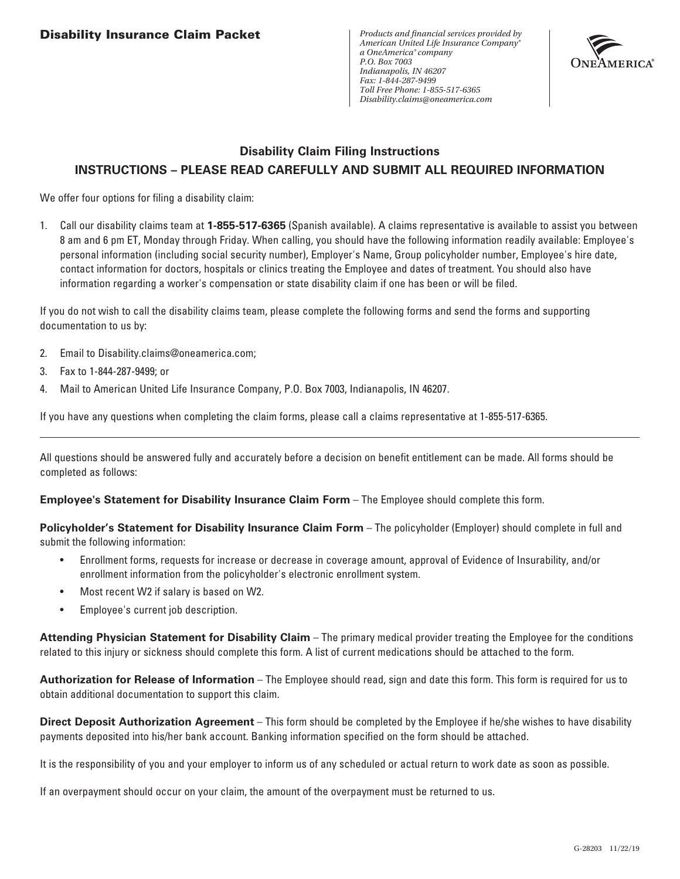*Products and financial services provided by American United Life Insurance Company® a OneAmerica® company P.O. Box 7003 Indianapolis, IN 46207 Fax: 1-844-287-9499 Toll Free Phone: 1-855-517-6365 Disability.claims@oneamerica.com*



# **Disability Claim Filing Instructions INSTRUCTIONS – PLEASE READ CAREFULLY AND SUBMIT ALL REQUIRED INFORMATION**

We offer four options for filing a disability claim:

1. Call our disability claims team at **1-855-517-6365** (Spanish available). A claims representative is available to assist you between 8 am and 6 pm ET, Monday through Friday. When calling, you should have the following information readily available: Employee's personal information (including social security number), Employer's Name, Group policyholder number, Employee's hire date, contact information for doctors, hospitals or clinics treating the Employee and dates of treatment. You should also have information regarding a worker's compensation or state disability claim if one has been or will be filed.

If you do not wish to call the disability claims team, please complete the following forms and send the forms and supporting documentation to us by:

- 2. Email to Disability.claims@oneamerica.com;
- 3. Fax to 1-844-287-9499; or
- 4. Mail to American United Life Insurance Company, P.O. Box 7003, Indianapolis, IN 46207.

If you have any questions when completing the claim forms, please call a claims representative at 1-855-517-6365.

All questions should be answered fully and accurately before a decision on benefit entitlement can be made. All forms should be completed as follows:

#### **Employee's Statement for Disability Insurance Claim Form** – The Employee should complete this form.

**Policyholder's Statement for Disability Insurance Claim Form** – The policyholder (Employer) should complete in full and submit the following information:

- Enrollment forms, requests for increase or decrease in coverage amount, approval of Evidence of Insurability, and/or enrollment information from the policyholder's electronic enrollment system.
- Most recent W2 if salary is based on W2.
- Employee's current job description.

**Attending Physician Statement for Disability Claim** – The primary medical provider treating the Employee for the conditions related to this injury or sickness should complete this form. A list of current medications should be attached to the form.

**Authorization for Release of Information** – The Employee should read, sign and date this form. This form is required for us to obtain additional documentation to support this claim.

**Direct Deposit Authorization Agreement** – This form should be completed by the Employee if he/she wishes to have disability payments deposited into his/her bank account. Banking information specified on the form should be attached.

It is the responsibility of you and your employer to inform us of any scheduled or actual return to work date as soon as possible.

If an overpayment should occur on your claim, the amount of the overpayment must be returned to us.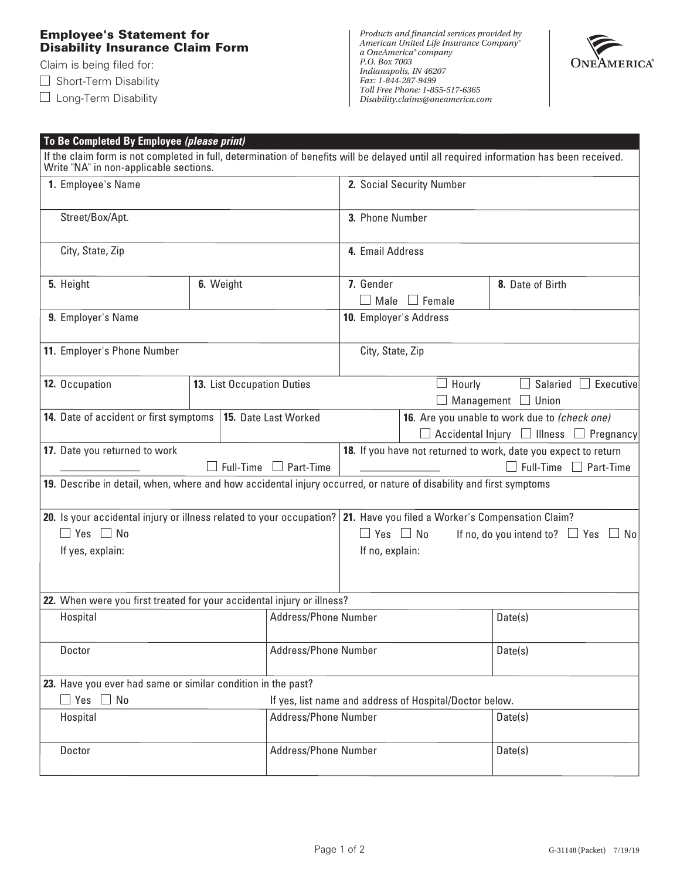### **Employee's Statement for Disability Insurance Claim Form**

Claim is being filed for:

 $\Box$  Short-Term Disability

□ Long-Term Disability



| To Be Completed By Employee (please print)                                                                               |           |                            |                                                                       |                                                         |                                                                                                                                         |  |
|--------------------------------------------------------------------------------------------------------------------------|-----------|----------------------------|-----------------------------------------------------------------------|---------------------------------------------------------|-----------------------------------------------------------------------------------------------------------------------------------------|--|
| Write "NA" in non-applicable sections.                                                                                   |           |                            |                                                                       |                                                         | If the claim form is not completed in full, determination of benefits will be delayed until all required information has been received. |  |
| 1. Employee's Name                                                                                                       |           |                            | 2. Social Security Number                                             |                                                         |                                                                                                                                         |  |
|                                                                                                                          |           |                            |                                                                       |                                                         |                                                                                                                                         |  |
| Street/Box/Apt.                                                                                                          |           |                            | 3. Phone Number                                                       |                                                         |                                                                                                                                         |  |
| City, State, Zip                                                                                                         |           |                            | 4. Email Address                                                      |                                                         |                                                                                                                                         |  |
|                                                                                                                          |           |                            |                                                                       |                                                         |                                                                                                                                         |  |
| 5. Height                                                                                                                | 6. Weight |                            | 7. Gender                                                             | $\Box$ Female                                           | 8. Date of Birth                                                                                                                        |  |
| 9. Employer's Name                                                                                                       |           |                            | Male<br>10. Employer's Address                                        |                                                         |                                                                                                                                         |  |
|                                                                                                                          |           |                            |                                                                       |                                                         |                                                                                                                                         |  |
| 11. Employer's Phone Number                                                                                              |           |                            | City, State, Zip                                                      |                                                         |                                                                                                                                         |  |
|                                                                                                                          |           |                            |                                                                       |                                                         |                                                                                                                                         |  |
| 12. Occupation                                                                                                           |           | 13. List Occupation Duties | Salaried $\Box$ Executive<br>Hourly<br>$\Box$ Management $\Box$ Union |                                                         |                                                                                                                                         |  |
| 14. Date of accident or first symptoms                                                                                   |           | 15. Date Last Worked       | 16. Are you unable to work due to (check one)                         |                                                         |                                                                                                                                         |  |
|                                                                                                                          |           |                            | $\Box$ Accidental Injury $\Box$ Illness $\Box$ Pregnancy              |                                                         |                                                                                                                                         |  |
| 17. Date you returned to work                                                                                            |           |                            | 18. If you have not returned to work, date you expect to return       |                                                         |                                                                                                                                         |  |
|                                                                                                                          |           | Full-Time $\Box$ Part-Time |                                                                       |                                                         | $\Box$ Full-Time $\Box$ Part-Time                                                                                                       |  |
| 19. Describe in detail, when, where and how accidental injury occurred, or nature of disability and first symptoms       |           |                            |                                                                       |                                                         |                                                                                                                                         |  |
| 20. Is your accidental injury or illness related to your occupation?   21. Have you filed a Worker's Compensation Claim? |           |                            |                                                                       |                                                         |                                                                                                                                         |  |
| $\Box$ Yes $\Box$ No                                                                                                     |           |                            | $\Box$ Yes $\Box$ No<br>If no, do you intend to? $\Box$ Yes $\Box$ No |                                                         |                                                                                                                                         |  |
| If yes, explain:                                                                                                         |           |                            | If no, explain:                                                       |                                                         |                                                                                                                                         |  |
|                                                                                                                          |           |                            |                                                                       |                                                         |                                                                                                                                         |  |
| 22. When were you first treated for your accidental injury or illness?                                                   |           |                            |                                                                       |                                                         |                                                                                                                                         |  |
| Hospital                                                                                                                 |           | Address/Phone Number       |                                                                       |                                                         | Date(s)                                                                                                                                 |  |
|                                                                                                                          |           |                            |                                                                       |                                                         |                                                                                                                                         |  |
| Doctor                                                                                                                   |           | Address/Phone Number       | Date(s)                                                               |                                                         |                                                                                                                                         |  |
| 23. Have you ever had same or similar condition in the past?                                                             |           |                            |                                                                       |                                                         |                                                                                                                                         |  |
| $\Box$ Yes<br>$\Box$ No                                                                                                  |           |                            |                                                                       | If yes, list name and address of Hospital/Doctor below. |                                                                                                                                         |  |
| Hospital                                                                                                                 |           | Address/Phone Number       | Date(s)                                                               |                                                         |                                                                                                                                         |  |
|                                                                                                                          |           |                            |                                                                       |                                                         |                                                                                                                                         |  |
| Doctor                                                                                                                   |           | Address/Phone Number       |                                                                       |                                                         | Date(s)                                                                                                                                 |  |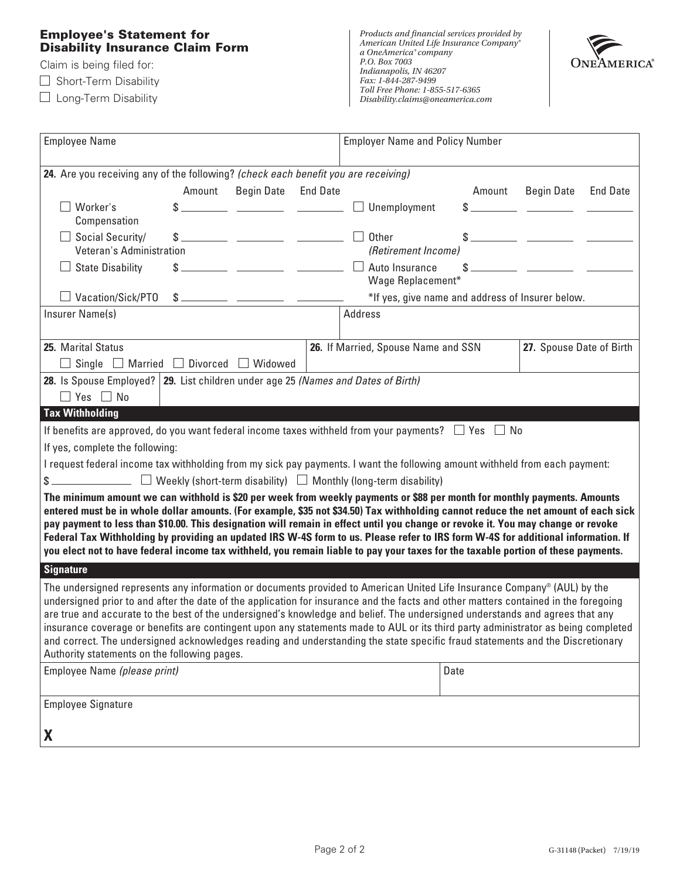### **Employee's Statement for Disability Insurance Claim Form**

Claim is being filed for:

 $\Box$  Short-Term Disability

□ Long-Term Disability



| <b>Employee Name</b>                                                                                                                                                                                                                                                                                                                                                                                                                                                                                                                                                                                                                                                                                                  | <b>Employer Name and Policy Number</b>                                                                                                                                                                                                                                                                                                                            |  |  |  |  |  |
|-----------------------------------------------------------------------------------------------------------------------------------------------------------------------------------------------------------------------------------------------------------------------------------------------------------------------------------------------------------------------------------------------------------------------------------------------------------------------------------------------------------------------------------------------------------------------------------------------------------------------------------------------------------------------------------------------------------------------|-------------------------------------------------------------------------------------------------------------------------------------------------------------------------------------------------------------------------------------------------------------------------------------------------------------------------------------------------------------------|--|--|--|--|--|
| 24. Are you receiving any of the following? (check each benefit you are receiving)                                                                                                                                                                                                                                                                                                                                                                                                                                                                                                                                                                                                                                    |                                                                                                                                                                                                                                                                                                                                                                   |  |  |  |  |  |
| Amount<br><b>Begin Date</b><br><b>End Date</b>                                                                                                                                                                                                                                                                                                                                                                                                                                                                                                                                                                                                                                                                        | <b>End Date</b><br>Amount<br><b>Begin Date</b>                                                                                                                                                                                                                                                                                                                    |  |  |  |  |  |
| Worker's                                                                                                                                                                                                                                                                                                                                                                                                                                                                                                                                                                                                                                                                                                              | $\Box$ Unemployment                                                                                                                                                                                                                                                                                                                                               |  |  |  |  |  |
| Compensation                                                                                                                                                                                                                                                                                                                                                                                                                                                                                                                                                                                                                                                                                                          |                                                                                                                                                                                                                                                                                                                                                                   |  |  |  |  |  |
| $\Box$ Social Security/<br>$\frac{1}{2}$ $\frac{1}{2}$ $\frac{1}{2}$ $\frac{1}{2}$ $\frac{1}{2}$ $\frac{1}{2}$ $\frac{1}{2}$ $\frac{1}{2}$ $\frac{1}{2}$ $\frac{1}{2}$ $\frac{1}{2}$ $\frac{1}{2}$ $\frac{1}{2}$ $\frac{1}{2}$ $\frac{1}{2}$ $\frac{1}{2}$ $\frac{1}{2}$ $\frac{1}{2}$ $\frac{1}{2}$ $\frac{1}{2}$ $\frac{1}{2}$ $\frac{1}{2}$                                                                                                                                                                                                                                                                                                                                                                        | $\Box$ Other                                                                                                                                                                                                                                                                                                                                                      |  |  |  |  |  |
| Veteran's Administration                                                                                                                                                                                                                                                                                                                                                                                                                                                                                                                                                                                                                                                                                              | (Retirement Income)                                                                                                                                                                                                                                                                                                                                               |  |  |  |  |  |
| <b>State Disability</b><br><u> 1980 - Andrea Barbara, poeta esta</u><br>$\Box$                                                                                                                                                                                                                                                                                                                                                                                                                                                                                                                                                                                                                                        | $\frac{1}{2}$ $\frac{1}{2}$ $\frac{1}{2}$ $\frac{1}{2}$ $\frac{1}{2}$ $\frac{1}{2}$ $\frac{1}{2}$ $\frac{1}{2}$ $\frac{1}{2}$ $\frac{1}{2}$ $\frac{1}{2}$ $\frac{1}{2}$ $\frac{1}{2}$ $\frac{1}{2}$ $\frac{1}{2}$ $\frac{1}{2}$ $\frac{1}{2}$ $\frac{1}{2}$ $\frac{1}{2}$ $\frac{1}{2}$ $\frac{1}{2}$ $\frac{1}{2}$<br>$\Box$ Auto Insurance<br>Wage Replacement* |  |  |  |  |  |
| $\Box$ Vacation/Sick/PTO                                                                                                                                                                                                                                                                                                                                                                                                                                                                                                                                                                                                                                                                                              | *If yes, give name and address of Insurer below.                                                                                                                                                                                                                                                                                                                  |  |  |  |  |  |
| Insurer Name(s)                                                                                                                                                                                                                                                                                                                                                                                                                                                                                                                                                                                                                                                                                                       | <b>Address</b>                                                                                                                                                                                                                                                                                                                                                    |  |  |  |  |  |
|                                                                                                                                                                                                                                                                                                                                                                                                                                                                                                                                                                                                                                                                                                                       |                                                                                                                                                                                                                                                                                                                                                                   |  |  |  |  |  |
| 25. Marital Status                                                                                                                                                                                                                                                                                                                                                                                                                                                                                                                                                                                                                                                                                                    | 27. Spouse Date of Birth<br>26. If Married, Spouse Name and SSN                                                                                                                                                                                                                                                                                                   |  |  |  |  |  |
| $\Box$ Single $\Box$ Married $\Box$ Divorced $\Box$ Widowed                                                                                                                                                                                                                                                                                                                                                                                                                                                                                                                                                                                                                                                           |                                                                                                                                                                                                                                                                                                                                                                   |  |  |  |  |  |
| 28. Is Spouse Employed? 29. List children under age 25 (Names and Dates of Birth)                                                                                                                                                                                                                                                                                                                                                                                                                                                                                                                                                                                                                                     |                                                                                                                                                                                                                                                                                                                                                                   |  |  |  |  |  |
| $\Box$ Yes $\Box$ No                                                                                                                                                                                                                                                                                                                                                                                                                                                                                                                                                                                                                                                                                                  |                                                                                                                                                                                                                                                                                                                                                                   |  |  |  |  |  |
| <b>Tax Withholding</b>                                                                                                                                                                                                                                                                                                                                                                                                                                                                                                                                                                                                                                                                                                |                                                                                                                                                                                                                                                                                                                                                                   |  |  |  |  |  |
| If benefits are approved, do you want federal income taxes withheld from your payments? $\Box$ Yes $\Box$ No                                                                                                                                                                                                                                                                                                                                                                                                                                                                                                                                                                                                          |                                                                                                                                                                                                                                                                                                                                                                   |  |  |  |  |  |
| If yes, complete the following:                                                                                                                                                                                                                                                                                                                                                                                                                                                                                                                                                                                                                                                                                       |                                                                                                                                                                                                                                                                                                                                                                   |  |  |  |  |  |
| I request federal income tax withholding from my sick pay payments. I want the following amount withheld from each payment:                                                                                                                                                                                                                                                                                                                                                                                                                                                                                                                                                                                           |                                                                                                                                                                                                                                                                                                                                                                   |  |  |  |  |  |
| $\frac{1}{2}$ Weekly (short-term disability) $\Box$ Monthly (long-term disability)                                                                                                                                                                                                                                                                                                                                                                                                                                                                                                                                                                                                                                    |                                                                                                                                                                                                                                                                                                                                                                   |  |  |  |  |  |
| The minimum amount we can withhold is \$20 per week from weekly payments or \$88 per month for monthly payments. Amounts<br>entered must be in whole dollar amounts. (For example, \$35 not \$34.50) Tax withholding cannot reduce the net amount of each sick<br>pay payment to less than \$10.00. This designation will remain in effect until you change or revoke it. You may change or revoke<br>Federal Tax Withholding by providing an updated IRS W-4S form to us. Please refer to IRS form W-4S for additional information. If<br>you elect not to have federal income tax withheld, you remain liable to pay your taxes for the taxable portion of these payments.                                          |                                                                                                                                                                                                                                                                                                                                                                   |  |  |  |  |  |
| <b>Signature</b>                                                                                                                                                                                                                                                                                                                                                                                                                                                                                                                                                                                                                                                                                                      |                                                                                                                                                                                                                                                                                                                                                                   |  |  |  |  |  |
| The undersigned represents any information or documents provided to American United Life Insurance Company® (AUL) by the<br>undersigned prior to and after the date of the application for insurance and the facts and other matters contained in the foregoing<br>are true and accurate to the best of the undersigned's knowledge and belief. The undersigned understands and agrees that any<br>insurance coverage or benefits are contingent upon any statements made to AUL or its third party administrator as being completed<br>and correct. The undersigned acknowledges reading and understanding the state specific fraud statements and the Discretionary<br>Authority statements on the following pages. |                                                                                                                                                                                                                                                                                                                                                                   |  |  |  |  |  |
| Employee Name (please print)                                                                                                                                                                                                                                                                                                                                                                                                                                                                                                                                                                                                                                                                                          | Date                                                                                                                                                                                                                                                                                                                                                              |  |  |  |  |  |
| <b>Employee Signature</b>                                                                                                                                                                                                                                                                                                                                                                                                                                                                                                                                                                                                                                                                                             |                                                                                                                                                                                                                                                                                                                                                                   |  |  |  |  |  |
| X                                                                                                                                                                                                                                                                                                                                                                                                                                                                                                                                                                                                                                                                                                                     |                                                                                                                                                                                                                                                                                                                                                                   |  |  |  |  |  |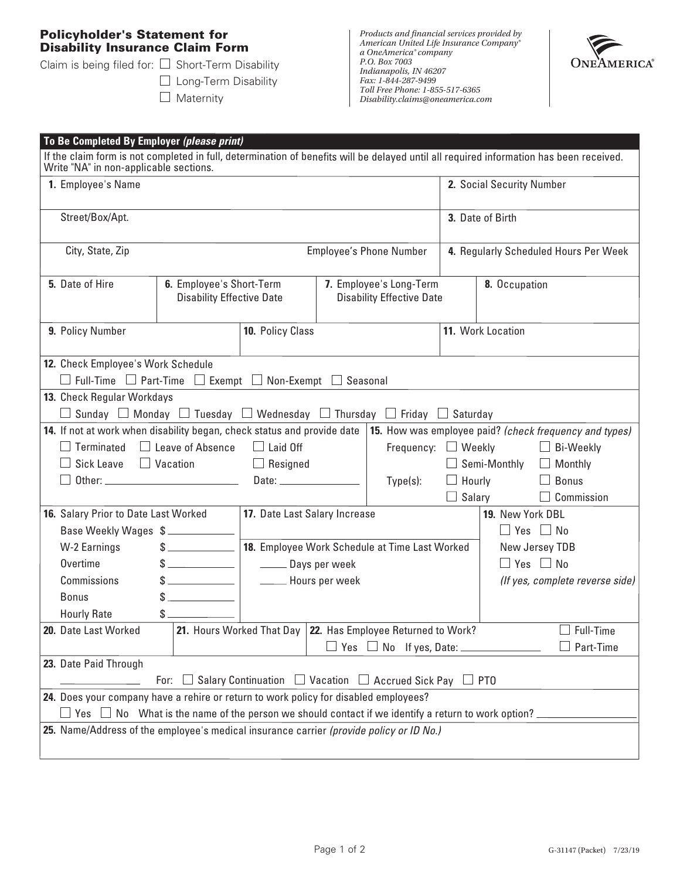## **Policyholder's Statement for Disability Insurance Claim Form**

Claim is being filed for:  $\square$  Short-Term Disability

□ Long-Term Disability  $\Box$  Maternity



| To Be Completed By Employer (please print) |                                                                                                                                         |                                                                                    |                                                                  |          |                                                |                           |                                       |                                    |  |
|--------------------------------------------|-----------------------------------------------------------------------------------------------------------------------------------------|------------------------------------------------------------------------------------|------------------------------------------------------------------|----------|------------------------------------------------|---------------------------|---------------------------------------|------------------------------------|--|
|                                            | If the claim form is not completed in full, determination of benefits will be delayed until all required information has been received. |                                                                                    |                                                                  |          |                                                |                           |                                       |                                    |  |
| Write "NA" in non-applicable sections.     |                                                                                                                                         |                                                                                    |                                                                  |          |                                                | 2. Social Security Number |                                       |                                    |  |
|                                            | 1. Employee's Name                                                                                                                      |                                                                                    |                                                                  |          |                                                |                           |                                       |                                    |  |
|                                            |                                                                                                                                         |                                                                                    |                                                                  |          |                                                |                           | 3. Date of Birth                      |                                    |  |
|                                            | Street/Box/Apt.                                                                                                                         |                                                                                    |                                                                  |          |                                                |                           |                                       |                                    |  |
|                                            |                                                                                                                                         |                                                                                    |                                                                  |          |                                                |                           | 4. Regularly Scheduled Hours Per Week |                                    |  |
|                                            | City, State, Zip                                                                                                                        |                                                                                    |                                                                  |          | Employee's Phone Number                        |                           |                                       |                                    |  |
|                                            | 5. Date of Hire                                                                                                                         | 6. Employee's Short-Term                                                           |                                                                  |          | 7. Employee's Long-Term                        |                           | 8. Occupation                         |                                    |  |
|                                            |                                                                                                                                         | <b>Disability Effective Date</b>                                                   |                                                                  |          | <b>Disability Effective Date</b>               |                           |                                       |                                    |  |
|                                            |                                                                                                                                         |                                                                                    |                                                                  |          |                                                |                           |                                       |                                    |  |
|                                            | 9. Policy Number                                                                                                                        |                                                                                    | 10. Policy Class                                                 |          |                                                |                           | 11. Work Location                     |                                    |  |
|                                            |                                                                                                                                         |                                                                                    |                                                                  |          |                                                |                           |                                       |                                    |  |
|                                            | 12. Check Employee's Work Schedule                                                                                                      |                                                                                    |                                                                  |          |                                                |                           |                                       |                                    |  |
|                                            | $\Box$ Full-Time $\Box$ Part-Time $\Box$ Exempt $\Box$ Non-Exempt $\Box$ Seasonal                                                       |                                                                                    |                                                                  |          |                                                |                           |                                       |                                    |  |
|                                            | 13. Check Regular Workdays                                                                                                              |                                                                                    |                                                                  |          |                                                |                           |                                       |                                    |  |
|                                            | $\Box$ Sunday $\Box$ Monday $\Box$ Tuesday $\Box$ Wednesday $\Box$ Thursday $\Box$ Friday $\Box$ Saturday                               |                                                                                    |                                                                  |          |                                                |                           |                                       |                                    |  |
|                                            | 14. If not at work when disability began, check status and provide date 15. How was employee paid? (check frequency and types)          |                                                                                    |                                                                  |          |                                                |                           |                                       |                                    |  |
|                                            | $Terminated \quad \Box$ Leave of Absence                                                                                                |                                                                                    | $\Box$ Laid Off                                                  |          | Frequency: $\Box$ Weekly                       |                           |                                       | $\Box$ Bi-Weekly                   |  |
|                                            | Sick Leave $\Box$ Vacation                                                                                                              |                                                                                    | Duman Resigned                                                   |          |                                                |                           |                                       | $\Box$ Semi-Monthly $\Box$ Monthly |  |
|                                            | Date: _________________                                                                                                                 |                                                                                    |                                                                  | Type(s): |                                                | $\Box$ Hourly             | $\Box$ Bonus                          |                                    |  |
|                                            |                                                                                                                                         |                                                                                    |                                                                  |          |                                                |                           | $\Box$ Salary                         | $\Box$ Commission                  |  |
|                                            | 16. Salary Prior to Date Last Worked                                                                                                    |                                                                                    | 17. Date Last Salary Increase                                    |          |                                                |                           | 19. New York DBL                      |                                    |  |
|                                            | Base Weekly Wages \$                                                                                                                    |                                                                                    |                                                                  |          |                                                |                           |                                       | $\Box$ Yes $\Box$ No               |  |
|                                            | W-2 Earnings                                                                                                                            |                                                                                    |                                                                  |          | 18. Employee Work Schedule at Time Last Worked |                           |                                       | New Jersey TDB                     |  |
|                                            | Overtime                                                                                                                                |                                                                                    | Days per week                                                    |          |                                                |                           |                                       | $\Box$ Yes $\Box$ No               |  |
|                                            | Commissions                                                                                                                             |                                                                                    | <b>Example 1</b> Hours per week                                  |          |                                                |                           |                                       | (If yes, complete reverse side)    |  |
|                                            | <b>Bonus</b>                                                                                                                            | $\mathbb{S}$                                                                       |                                                                  |          |                                                |                           |                                       |                                    |  |
|                                            | <b>Hourly Rate</b>                                                                                                                      |                                                                                    |                                                                  |          |                                                |                           |                                       |                                    |  |
|                                            | 20. Date Last Worked                                                                                                                    |                                                                                    | 21. Hours Worked That Day $ $ 22. Has Employee Returned to Work? |          |                                                |                           |                                       | $\Box$ Full-Time                   |  |
|                                            |                                                                                                                                         |                                                                                    |                                                                  |          | $\Box$ Yes $\;\Box$ No $\;$ If yes, Date: $\_$ |                           |                                       | Part-Time                          |  |
|                                            | 23. Date Paid Through                                                                                                                   |                                                                                    |                                                                  |          |                                                |                           |                                       |                                    |  |
|                                            |                                                                                                                                         | For: $\Box$ Salary Continuation $\Box$ Vacation $\Box$ Accrued Sick Pay $\Box$ PTO |                                                                  |          |                                                |                           |                                       |                                    |  |
|                                            | 24. Does your company have a rehire or return to work policy for disabled employees?                                                    |                                                                                    |                                                                  |          |                                                |                           |                                       |                                    |  |
|                                            | $\Box$ Yes $\;\Box$ No $\;$ What is the name of the person we should contact if we identify a return to work option? $\lrcorner$        |                                                                                    |                                                                  |          |                                                |                           |                                       |                                    |  |
|                                            | 25. Name/Address of the employee's medical insurance carrier (provide policy or ID No.)                                                 |                                                                                    |                                                                  |          |                                                |                           |                                       |                                    |  |
|                                            |                                                                                                                                         |                                                                                    |                                                                  |          |                                                |                           |                                       |                                    |  |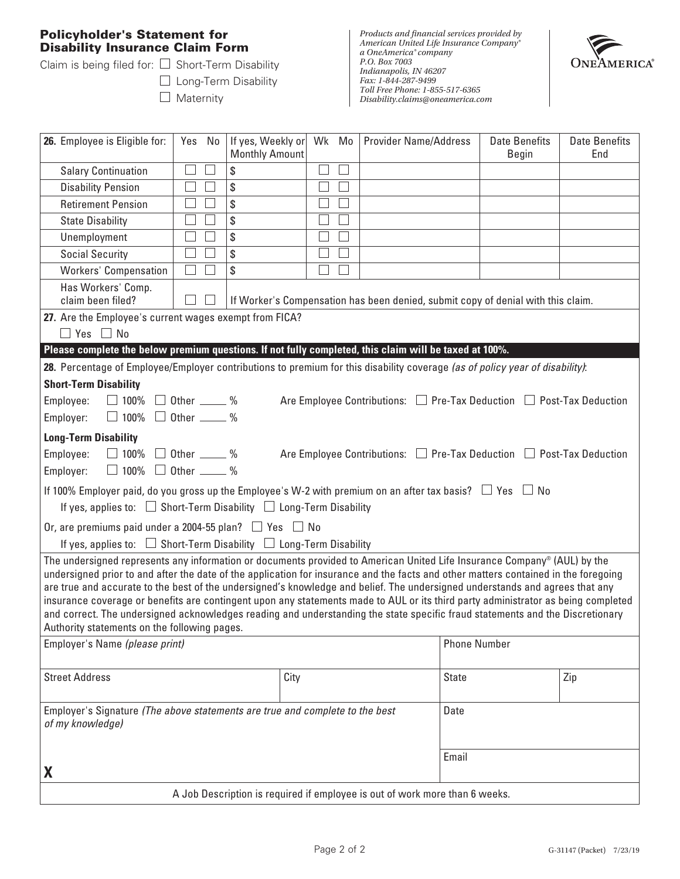## **Policyholder's Statement for Disability Insurance Claim Form**

Claim is being filed for:  $\square$  Short-Term Disability

□ Long-Term Disability  $\Box$  Maternity



| 26. Employee is Eligible for:                                                                                                                                       | Yes No                                                                                                                                                                                                                                                                                                                                                                                          | If yes, Weekly or<br><b>Monthly Amount</b> | Wk Mo  |   | <b>Provider Name/Address</b> | <b>Date Benefits</b><br>Begin                                                  | <b>Date Benefits</b><br>End |  |
|---------------------------------------------------------------------------------------------------------------------------------------------------------------------|-------------------------------------------------------------------------------------------------------------------------------------------------------------------------------------------------------------------------------------------------------------------------------------------------------------------------------------------------------------------------------------------------|--------------------------------------------|--------|---|------------------------------|--------------------------------------------------------------------------------|-----------------------------|--|
| <b>Salary Continuation</b>                                                                                                                                          |                                                                                                                                                                                                                                                                                                                                                                                                 | \$                                         |        |   |                              |                                                                                |                             |  |
| <b>Disability Pension</b>                                                                                                                                           |                                                                                                                                                                                                                                                                                                                                                                                                 | \$                                         |        |   |                              |                                                                                |                             |  |
| <b>Retirement Pension</b>                                                                                                                                           |                                                                                                                                                                                                                                                                                                                                                                                                 | \$                                         |        |   |                              |                                                                                |                             |  |
| <b>State Disability</b>                                                                                                                                             |                                                                                                                                                                                                                                                                                                                                                                                                 | \$                                         |        | ٦ |                              |                                                                                |                             |  |
| Unemployment                                                                                                                                                        |                                                                                                                                                                                                                                                                                                                                                                                                 | \$                                         |        |   |                              |                                                                                |                             |  |
| <b>Social Security</b>                                                                                                                                              |                                                                                                                                                                                                                                                                                                                                                                                                 | \$                                         |        |   |                              |                                                                                |                             |  |
| <b>Workers' Compensation</b>                                                                                                                                        | $\blacksquare$                                                                                                                                                                                                                                                                                                                                                                                  | \$                                         | $\sim$ |   |                              |                                                                                |                             |  |
| Has Workers' Comp.<br>claim been filed?                                                                                                                             | If Worker's Compensation has been denied, submit copy of denial with this claim.                                                                                                                                                                                                                                                                                                                |                                            |        |   |                              |                                                                                |                             |  |
| 27. Are the Employee's current wages exempt from FICA?                                                                                                              |                                                                                                                                                                                                                                                                                                                                                                                                 |                                            |        |   |                              |                                                                                |                             |  |
| $\Box$ Yes $\Box$ No                                                                                                                                                |                                                                                                                                                                                                                                                                                                                                                                                                 |                                            |        |   |                              |                                                                                |                             |  |
| Please complete the below premium questions. If not fully completed, this claim will be taxed at 100%.                                                              |                                                                                                                                                                                                                                                                                                                                                                                                 |                                            |        |   |                              |                                                                                |                             |  |
| 28. Percentage of Employee/Employer contributions to premium for this disability coverage (as of policy year of disability):                                        |                                                                                                                                                                                                                                                                                                                                                                                                 |                                            |        |   |                              |                                                                                |                             |  |
| <b>Short-Term Disability</b>                                                                                                                                        |                                                                                                                                                                                                                                                                                                                                                                                                 |                                            |        |   |                              |                                                                                |                             |  |
| $\Box$ 100% $\Box$ Other _____ %<br>Employee:                                                                                                                       |                                                                                                                                                                                                                                                                                                                                                                                                 |                                            |        |   |                              | Are Employee Contributions: $\Box$ Pre-Tax Deduction $\Box$ Post-Tax Deduction |                             |  |
| $\Box$ 100% $\Box$ Other _____ %<br>Employer:                                                                                                                       |                                                                                                                                                                                                                                                                                                                                                                                                 |                                            |        |   |                              |                                                                                |                             |  |
| <b>Long-Term Disability</b>                                                                                                                                         |                                                                                                                                                                                                                                                                                                                                                                                                 |                                            |        |   |                              |                                                                                |                             |  |
| Employee:                                                                                                                                                           |                                                                                                                                                                                                                                                                                                                                                                                                 |                                            |        |   |                              |                                                                                |                             |  |
| $\Box$ 100% $\Box$ Other _____ %<br>Are Employee Contributions: $\Box$ Pre-Tax Deduction $\Box$ Post-Tax Deduction<br>$\Box$ 100% $\Box$ Other _____ %<br>Employer: |                                                                                                                                                                                                                                                                                                                                                                                                 |                                            |        |   |                              |                                                                                |                             |  |
| If 100% Employer paid, do you gross up the Employee's W-2 with premium on an after tax basis? $\Box$ Yes $\Box$ No                                                  |                                                                                                                                                                                                                                                                                                                                                                                                 |                                            |        |   |                              |                                                                                |                             |  |
| If yes, applies to: $\Box$ Short-Term Disability $\Box$ Long-Term Disability                                                                                        |                                                                                                                                                                                                                                                                                                                                                                                                 |                                            |        |   |                              |                                                                                |                             |  |
|                                                                                                                                                                     |                                                                                                                                                                                                                                                                                                                                                                                                 |                                            |        |   |                              |                                                                                |                             |  |
| Or, are premiums paid under a 2004-55 plan? $\Box$ Yes $\Box$ No                                                                                                    |                                                                                                                                                                                                                                                                                                                                                                                                 |                                            |        |   |                              |                                                                                |                             |  |
| If yes, applies to: $\Box$ Short-Term Disability $\Box$ Long-Term Disability                                                                                        |                                                                                                                                                                                                                                                                                                                                                                                                 |                                            |        |   |                              |                                                                                |                             |  |
|                                                                                                                                                                     | The undersigned represents any information or documents provided to American United Life Insurance Company® (AUL) by the<br>undersigned prior to and after the date of the application for insurance and the facts and other matters contained in the foregoing<br>are true and accurate to the best of the undersigned's knowledge and belief. The undersigned understands and agrees that any |                                            |        |   |                              |                                                                                |                             |  |
| insurance coverage or benefits are contingent upon any statements made to AUL or its third party administrator as being completed                                   |                                                                                                                                                                                                                                                                                                                                                                                                 |                                            |        |   |                              |                                                                                |                             |  |
| and correct. The undersigned acknowledges reading and understanding the state specific fraud statements and the Discretionary                                       |                                                                                                                                                                                                                                                                                                                                                                                                 |                                            |        |   |                              |                                                                                |                             |  |
| Authority statements on the following pages.                                                                                                                        |                                                                                                                                                                                                                                                                                                                                                                                                 |                                            |        |   |                              | <b>Phone Number</b>                                                            |                             |  |
| Employer's Name (please print)                                                                                                                                      |                                                                                                                                                                                                                                                                                                                                                                                                 |                                            |        |   |                              |                                                                                |                             |  |
| <b>Street Address</b>                                                                                                                                               |                                                                                                                                                                                                                                                                                                                                                                                                 |                                            |        |   |                              |                                                                                |                             |  |
|                                                                                                                                                                     |                                                                                                                                                                                                                                                                                                                                                                                                 | City                                       |        |   |                              | <b>State</b>                                                                   | Zip                         |  |
|                                                                                                                                                                     |                                                                                                                                                                                                                                                                                                                                                                                                 |                                            |        |   |                              |                                                                                |                             |  |
| Employer's Signature (The above statements are true and complete to the best<br>Date<br>of my knowledge)                                                            |                                                                                                                                                                                                                                                                                                                                                                                                 |                                            |        |   |                              |                                                                                |                             |  |
|                                                                                                                                                                     |                                                                                                                                                                                                                                                                                                                                                                                                 |                                            |        |   |                              |                                                                                |                             |  |
|                                                                                                                                                                     |                                                                                                                                                                                                                                                                                                                                                                                                 |                                            |        |   |                              | Email                                                                          |                             |  |
| X                                                                                                                                                                   |                                                                                                                                                                                                                                                                                                                                                                                                 |                                            |        |   |                              |                                                                                |                             |  |
| A Job Description is required if employee is out of work more than 6 weeks.                                                                                         |                                                                                                                                                                                                                                                                                                                                                                                                 |                                            |        |   |                              |                                                                                |                             |  |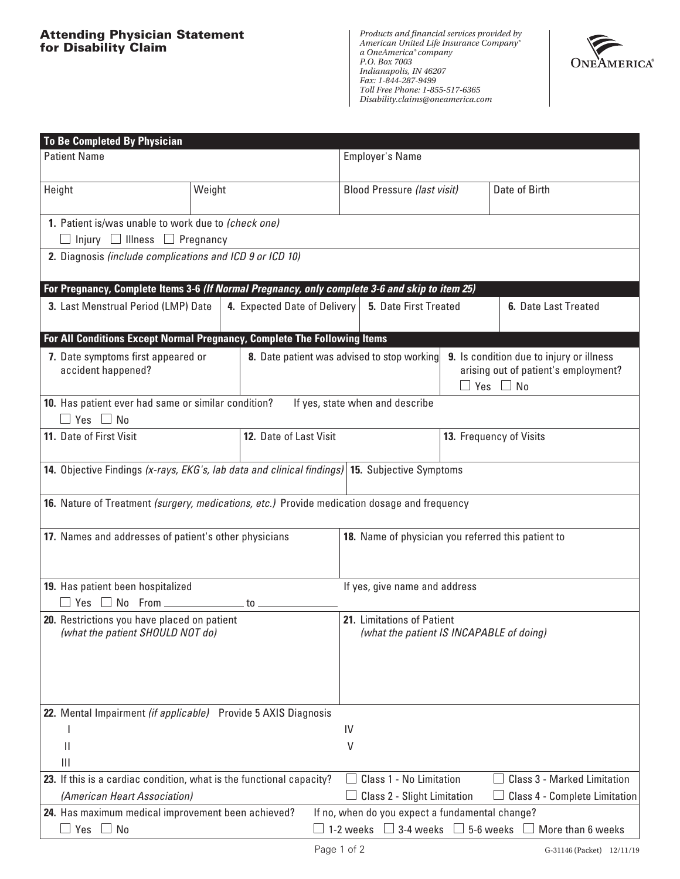

| <b>To Be Completed By Physician</b>                                                                  |        |                                             |                                                                                                                                        |                                                    |                      |                                                                                                          |  |
|------------------------------------------------------------------------------------------------------|--------|---------------------------------------------|----------------------------------------------------------------------------------------------------------------------------------------|----------------------------------------------------|----------------------|----------------------------------------------------------------------------------------------------------|--|
| <b>Patient Name</b>                                                                                  |        |                                             | Employer's Name                                                                                                                        |                                                    |                      |                                                                                                          |  |
| Height                                                                                               | Weight |                                             |                                                                                                                                        | <b>Blood Pressure (last visit)</b>                 |                      | Date of Birth                                                                                            |  |
| 1. Patient is/was unable to work due to (check one)<br>$\Box$ Injury $\Box$ Illness $\Box$ Pregnancy |        |                                             |                                                                                                                                        |                                                    |                      |                                                                                                          |  |
| 2. Diagnosis (include complications and ICD 9 or ICD 10)                                             |        |                                             |                                                                                                                                        |                                                    |                      |                                                                                                          |  |
| For Pregnancy, Complete Items 3-6 (If Normal Pregnancy, only complete 3-6 and skip to item 25)       |        |                                             |                                                                                                                                        |                                                    |                      |                                                                                                          |  |
| 3. Last Menstrual Period (LMP) Date<br>4. Expected Date of Delivery   5. Date First Treated          |        |                                             |                                                                                                                                        |                                                    | 6. Date Last Treated |                                                                                                          |  |
| For All Conditions Except Normal Pregnancy, Complete The Following Items                             |        |                                             |                                                                                                                                        |                                                    |                      |                                                                                                          |  |
| 7. Date symptoms first appeared or<br>accident happened?                                             |        | 8. Date patient was advised to stop working |                                                                                                                                        |                                                    |                      | 9. Is condition due to injury or illness<br>arising out of patient's employment?<br>$\Box$ Yes $\Box$ No |  |
| 10. Has patient ever had same or similar condition?<br>$\Box$ Yes $\Box$ No                          |        |                                             |                                                                                                                                        | If yes, state when and describe                    |                      |                                                                                                          |  |
| 11. Date of First Visit                                                                              |        | 12. Date of Last Visit                      |                                                                                                                                        | 13. Frequency of Visits                            |                      |                                                                                                          |  |
| 14. Objective Findings (x-rays, EKG's, lab data and clinical findings) 15. Subjective Symptoms       |        |                                             |                                                                                                                                        |                                                    |                      |                                                                                                          |  |
| 16. Nature of Treatment (surgery, medications, etc.) Provide medication dosage and frequency         |        |                                             |                                                                                                                                        |                                                    |                      |                                                                                                          |  |
| 17. Names and addresses of patient's other physicians                                                |        |                                             |                                                                                                                                        | 18. Name of physician you referred this patient to |                      |                                                                                                          |  |
| 19. Has patient been hospitalized<br>$\Box$ Yes $\Box$ No From ___________                           |        | to $\_$                                     |                                                                                                                                        | If yes, give name and address                      |                      |                                                                                                          |  |
| 20. Restrictions you have placed on patient                                                          |        |                                             | 21. Limitations of Patient                                                                                                             |                                                    |                      |                                                                                                          |  |
| (what the patient SHOULD NOT do)<br>(what the patient IS INCAPABLE of doing)                         |        |                                             |                                                                                                                                        |                                                    |                      |                                                                                                          |  |
| 22. Mental Impairment (if applicable) Provide 5 AXIS Diagnosis                                       |        |                                             |                                                                                                                                        |                                                    |                      |                                                                                                          |  |
|                                                                                                      |        |                                             | IV                                                                                                                                     |                                                    |                      |                                                                                                          |  |
| $\mathsf{I}$                                                                                         |        |                                             | V                                                                                                                                      |                                                    |                      |                                                                                                          |  |
| III                                                                                                  |        |                                             |                                                                                                                                        |                                                    |                      |                                                                                                          |  |
| 23. If this is a cardiac condition, what is the functional capacity?                                 |        |                                             | Class 1 - No Limitation<br><b>Class 3 - Marked Limitation</b>                                                                          |                                                    |                      |                                                                                                          |  |
| (American Heart Association)                                                                         |        |                                             | Class 2 - Slight Limitation<br>Class 4 - Complete Limitation                                                                           |                                                    |                      |                                                                                                          |  |
| 24. Has maximum medical improvement been achieved?<br>No<br>Yes<br>$\blacksquare$                    |        |                                             | If no, when do you expect a fundamental change?<br>3-4 weeks $\Box$ 5-6 weeks<br>1-2 weeks<br>$\Box$ More than 6 weeks<br>$\mathbf{1}$ |                                                    |                      |                                                                                                          |  |
|                                                                                                      |        |                                             |                                                                                                                                        |                                                    |                      |                                                                                                          |  |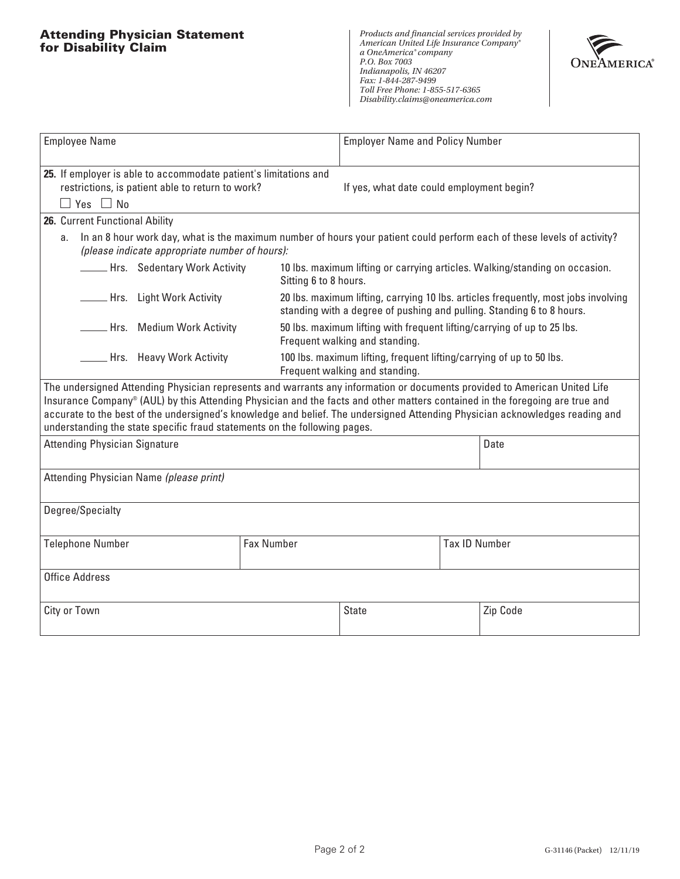### **Attending Physician Statement for Disability Claim**



| <b>Employee Name</b>                                                                                                                                                            |                                                                                                                                                                                                                                                                                                                                                                                                                                                                        | <b>Employer Name and Policy Number</b>                                                                    |  |                                                                                                                                                             |  |  |  |
|---------------------------------------------------------------------------------------------------------------------------------------------------------------------------------|------------------------------------------------------------------------------------------------------------------------------------------------------------------------------------------------------------------------------------------------------------------------------------------------------------------------------------------------------------------------------------------------------------------------------------------------------------------------|-----------------------------------------------------------------------------------------------------------|--|-------------------------------------------------------------------------------------------------------------------------------------------------------------|--|--|--|
| 25. If employer is able to accommodate patient's limitations and<br>restrictions, is patient able to return to work?<br>$\Box$ Yes $\Box$ No                                    | If yes, what date could employment begin?                                                                                                                                                                                                                                                                                                                                                                                                                              |                                                                                                           |  |                                                                                                                                                             |  |  |  |
| 26. Current Functional Ability                                                                                                                                                  |                                                                                                                                                                                                                                                                                                                                                                                                                                                                        |                                                                                                           |  |                                                                                                                                                             |  |  |  |
| In an 8 hour work day, what is the maximum number of hours your patient could perform each of these levels of activity?<br>a.<br>(please indicate appropriate number of hours): |                                                                                                                                                                                                                                                                                                                                                                                                                                                                        |                                                                                                           |  |                                                                                                                                                             |  |  |  |
|                                                                                                                                                                                 | <b>______ Hrs.</b> Sedentary Work Activity<br>10 lbs. maximum lifting or carrying articles. Walking/standing on occasion.<br>Sitting 6 to 8 hours.                                                                                                                                                                                                                                                                                                                     |                                                                                                           |  |                                                                                                                                                             |  |  |  |
| ___ Hrs. Light Work Activity                                                                                                                                                    |                                                                                                                                                                                                                                                                                                                                                                                                                                                                        |                                                                                                           |  | 20 lbs. maximum lifting, carrying 10 lbs. articles frequently, most jobs involving<br>standing with a degree of pushing and pulling. Standing 6 to 8 hours. |  |  |  |
| _ Hrs. Medium Work Activity                                                                                                                                                     |                                                                                                                                                                                                                                                                                                                                                                                                                                                                        | 50 lbs. maximum lifting with frequent lifting/carrying of up to 25 lbs.<br>Frequent walking and standing. |  |                                                                                                                                                             |  |  |  |
| __ Hrs. Heavy Work Activity                                                                                                                                                     |                                                                                                                                                                                                                                                                                                                                                                                                                                                                        | 100 lbs. maximum lifting, frequent lifting/carrying of up to 50 lbs.<br>Frequent walking and standing.    |  |                                                                                                                                                             |  |  |  |
|                                                                                                                                                                                 | The undersigned Attending Physician represents and warrants any information or documents provided to American United Life<br>Insurance Company® (AUL) by this Attending Physician and the facts and other matters contained in the foregoing are true and<br>accurate to the best of the undersigned's knowledge and belief. The undersigned Attending Physician acknowledges reading and<br>understanding the state specific fraud statements on the following pages. |                                                                                                           |  |                                                                                                                                                             |  |  |  |
| <b>Attending Physician Signature</b>                                                                                                                                            |                                                                                                                                                                                                                                                                                                                                                                                                                                                                        |                                                                                                           |  | Date                                                                                                                                                        |  |  |  |
| Attending Physician Name (please print)                                                                                                                                         |                                                                                                                                                                                                                                                                                                                                                                                                                                                                        |                                                                                                           |  |                                                                                                                                                             |  |  |  |
| Degree/Specialty                                                                                                                                                                |                                                                                                                                                                                                                                                                                                                                                                                                                                                                        |                                                                                                           |  |                                                                                                                                                             |  |  |  |
| <b>Telephone Number</b>                                                                                                                                                         | <b>Fax Number</b>                                                                                                                                                                                                                                                                                                                                                                                                                                                      | <b>Tax ID Number</b>                                                                                      |  |                                                                                                                                                             |  |  |  |
| <b>Office Address</b>                                                                                                                                                           |                                                                                                                                                                                                                                                                                                                                                                                                                                                                        |                                                                                                           |  |                                                                                                                                                             |  |  |  |
| City or Town                                                                                                                                                                    |                                                                                                                                                                                                                                                                                                                                                                                                                                                                        | <b>State</b>                                                                                              |  | Zip Code                                                                                                                                                    |  |  |  |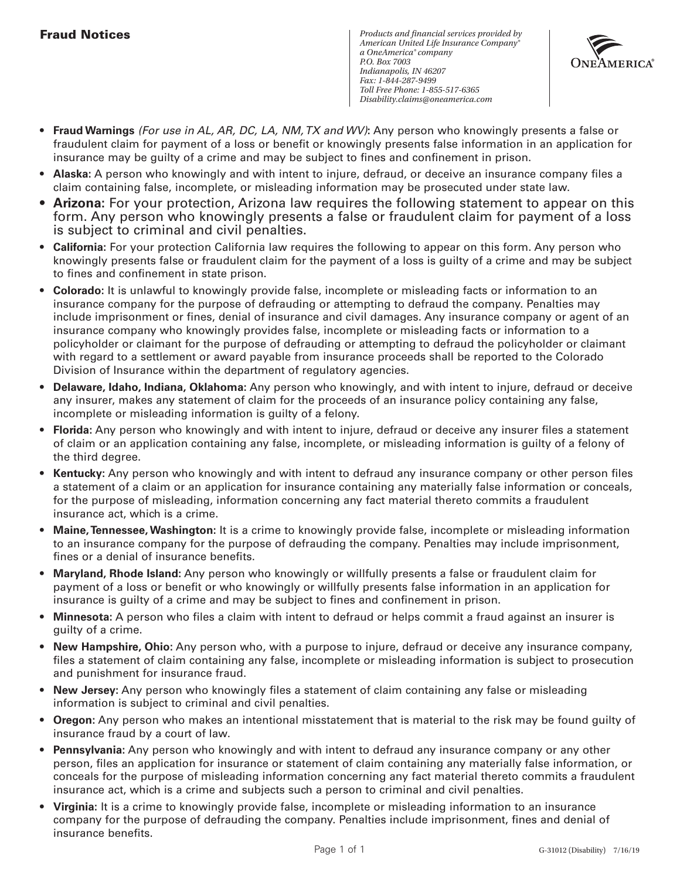## **Fraud Notices**



- **Fraud Warnings** *(For use in AL, AR, DC, LA, NM, TX and WV)***:** Any person who knowingly presents a false or fraudulent claim for payment of a loss or benefit or knowingly presents false information in an application for insurance may be guilty of a crime and may be subject to fines and confinement in prison.
- **Alaska:** A person who knowingly and with intent to injure, defraud, or deceive an insurance company files a claim containing false, incomplete, or misleading information may be prosecuted under state law.
- **Arizona:** For your protection, Arizona law requires the following statement to appear on this form. Any person who knowingly presents a false or fraudulent claim for payment of a loss is subject to criminal and civil penalties.
- **California:** For your protection California law requires the following to appear on this form. Any person who knowingly presents false or fraudulent claim for the payment of a loss is guilty of a crime and may be subject to fines and confinement in state prison.
- **Colorado:** It is unlawful to knowingly provide false, incomplete or misleading facts or information to an insurance company for the purpose of defrauding or attempting to defraud the company. Penalties may include imprisonment or fines, denial of insurance and civil damages. Any insurance company or agent of an insurance company who knowingly provides false, incomplete or misleading facts or information to a policyholder or claimant for the purpose of defrauding or attempting to defraud the policyholder or claimant with regard to a settlement or award payable from insurance proceeds shall be reported to the Colorado Division of Insurance within the department of regulatory agencies.
- **Delaware, Idaho, Indiana, Oklahoma:** Any person who knowingly, and with intent to injure, defraud or deceive any insurer, makes any statement of claim for the proceeds of an insurance policy containing any false, incomplete or misleading information is guilty of a felony.
- **Florida:** Any person who knowingly and with intent to injure, defraud or deceive any insurer files a statement of claim or an application containing any false, incomplete, or misleading information is guilty of a felony of the third degree.
- **Kentucky:** Any person who knowingly and with intent to defraud any insurance company or other person files a statement of a claim or an application for insurance containing any materially false information or conceals, for the purpose of misleading, information concerning any fact material thereto commits a fraudulent insurance act, which is a crime.
- **Maine, Tennessee, Washington:** It is a crime to knowingly provide false, incomplete or misleading information to an insurance company for the purpose of defrauding the company. Penalties may include imprisonment, fines or a denial of insurance benefits.
- **Maryland, Rhode Island:** Any person who knowingly or willfully presents a false or fraudulent claim for payment of a loss or benefit or who knowingly or willfully presents false information in an application for insurance is guilty of a crime and may be subject to fines and confinement in prison.
- **Minnesota:** A person who files a claim with intent to defraud or helps commit a fraud against an insurer is guilty of a crime.
- **New Hampshire, Ohio:** Any person who, with a purpose to injure, defraud or deceive any insurance company, files a statement of claim containing any false, incomplete or misleading information is subject to prosecution and punishment for insurance fraud.
- **New Jersey:** Any person who knowingly files a statement of claim containing any false or misleading information is subject to criminal and civil penalties.
- **Oregon:** Any person who makes an intentional misstatement that is material to the risk may be found guilty of insurance fraud by a court of law.
- **Pennsylvania:** Any person who knowingly and with intent to defraud any insurance company or any other person, files an application for insurance or statement of claim containing any materially false information, or conceals for the purpose of misleading information concerning any fact material thereto commits a fraudulent insurance act, which is a crime and subjects such a person to criminal and civil penalties.
- **Virginia:** It is a crime to knowingly provide false, incomplete or misleading information to an insurance company for the purpose of defrauding the company. Penalties include imprisonment, fines and denial of insurance benefits.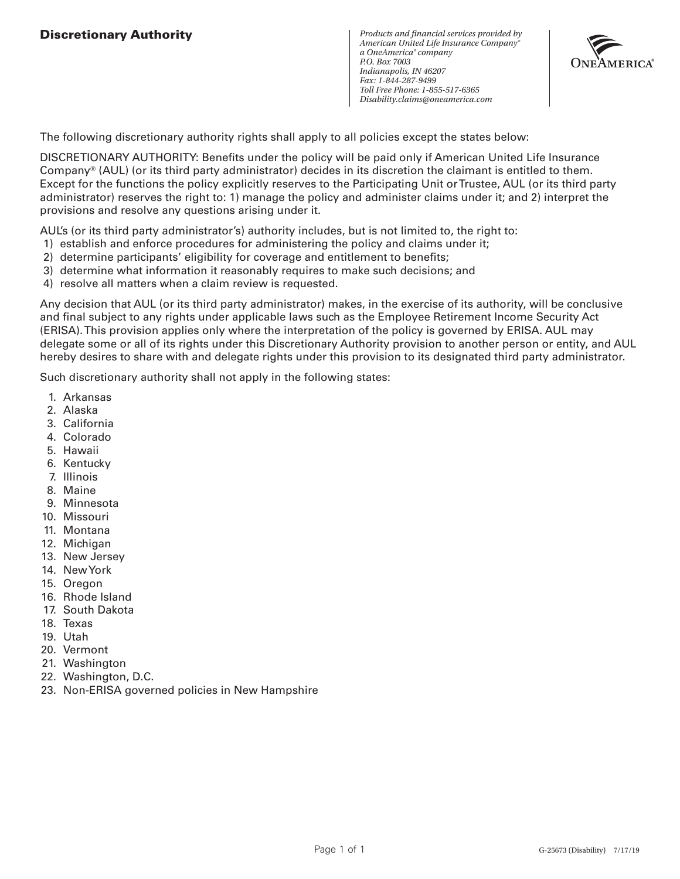*Products and financial services provided by American United Life Insurance Company® a OneAmerica® company P.O. Box 7003 Indianapolis, IN 46207 Fax: 1-844-287-9499 Toll Free Phone: 1-855-517-6365 Disability.claims@oneamerica.com*



The following discretionary authority rights shall apply to all policies except the states below:

DISCRETIONARY AUTHORITY: Benefits under the policy will be paid only if American United Life Insurance Company® (AUL) (or its third party administrator) decides in its discretion the claimant is entitled to them. Except for the functions the policy explicitly reserves to the Participating Unit or Trustee, AUL (or its third party administrator) reserves the right to: 1) manage the policy and administer claims under it; and 2) interpret the provisions and resolve any questions arising under it.

AUL's (or its third party administrator's) authority includes, but is not limited to, the right to:

- 1) establish and enforce procedures for administering the policy and claims under it;
- 2) determine participants' eligibility for coverage and entitlement to benefits;
- 3) determine what information it reasonably requires to make such decisions; and
- 4) resolve all matters when a claim review is requested.

Any decision that AUL (or its third party administrator) makes, in the exercise of its authority, will be conclusive and final subject to any rights under applicable laws such as the Employee Retirement Income Security Act (ERISA). This provision applies only where the interpretation of the policy is governed by ERISA. AUL may delegate some or all of its rights under this Discretionary Authority provision to another person or entity, and AUL hereby desires to share with and delegate rights under this provision to its designated third party administrator.

Such discretionary authority shall not apply in the following states:

- 1. Arkansas
- 2. Alaska
- 3. California
- 4. Colorado
- 5. Hawaii
- 6. Kentucky
- 7. Illinois
- 8. Maine
- 9. Minnesota
- 10. Missouri
- 11. Montana
- 12. Michigan
- 13. New Jersey
- 14. New York
- 15. Oregon
- 16. Rhode Island
- 17. South Dakota
- 18. Texas
- 19. Utah
- 20. Vermont
- 21. Washington
- 22. Washington, D.C.
- 23. Non-ERISA governed policies in New Hampshire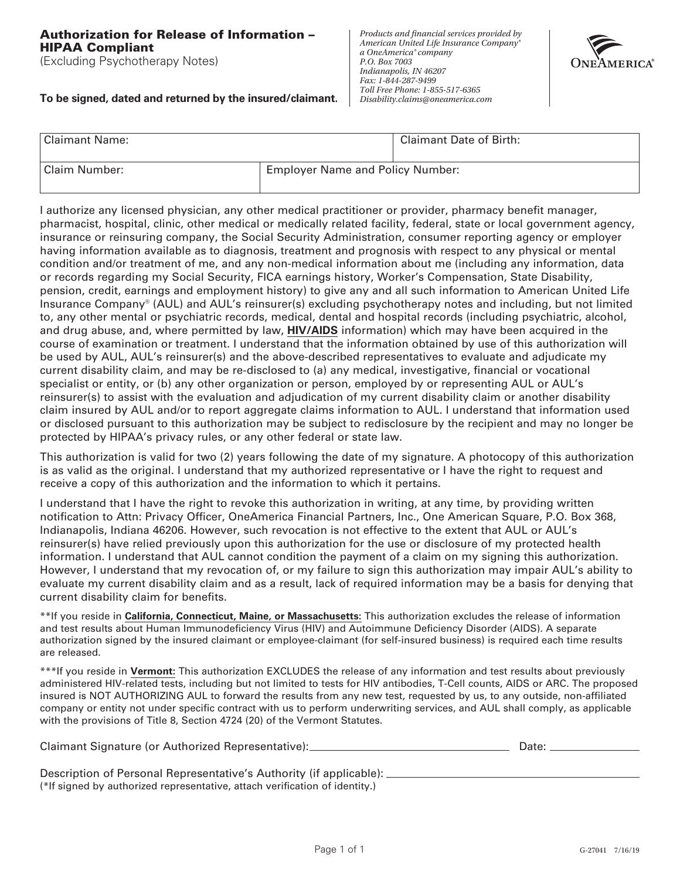#### **Authorization for Release of Information – HIPAA Compliant**

(Excluding Psychotherapy Notes)

#### **To be signed, dated and returned by the insured/claimant.**

*Products and financial services provided by American United Life Insurance Company® a OneAmerica® company P.O. Box 7003 Indianapolis, IN 46207 Fax: 1-844-287-9499 Toll Free Phone: 1-855-517-6365 Disability.claims@oneamerica.com*



| Claimant Name: |                                         | Claimant Date of Birth: |
|----------------|-----------------------------------------|-------------------------|
| Claim Number:  | <b>Employer Name and Policy Number:</b> |                         |

I authorize any licensed physician, any other medical practitioner or provider, pharmacy benefit manager, pharmacist, hospital, clinic, other medical or medically related facility, federal, state or local government agency, insurance or reinsuring company, the Social Security Administration, consumer reporting agency or employer having information available as to diagnosis, treatment and prognosis with respect to any physical or mental condition and/or treatment of me, and any non-medical information about me (including any information, data or records regarding my Social Security, FICA earnings history, Worker's Compensation, State Disability, pension, credit, earnings and employment history) to give any and all such information to American United Life Insurance Company® (AUL) and AUL's reinsurer(s) excluding psychotherapy notes and including, but not limited to, any other mental or psychiatric records, medical, dental and hospital records (including psychiatric, alcohol, and drug abuse, and, where permitted by law, **HIV/AIDS** information) which may have been acquired in the course of examination or treatment. I understand that the information obtained by use of this authorization will be used by AUL, AUL's reinsurer(s) and the above-described representatives to evaluate and adjudicate my current disability claim, and may be re-disclosed to (a) any medical, investigative, financial or vocational specialist or entity, or (b) any other organization or person, employed by or representing AUL or AUL's reinsurer(s) to assist with the evaluation and adjudication of my current disability claim or another disability claim insured by AUL and/or to report aggregate claims information to AUL. I understand that information used or disclosed pursuant to this authorization may be subject to redisclosure by the recipient and may no longer be protected by HIPAA's privacy rules, or any other federal or state law.

This authorization is valid for two (2) years following the date of my signature. A photocopy of this authorization is as valid as the original. I understand that my authorized representative or I have the right to request and receive a copy of this authorization and the information to which it pertains.

I understand that I have the right to revoke this authorization in writing, at any time, by providing written notification to Attn: Privacy Officer, OneAmerica Financial Partners, Inc., One American Square, P.O. Box 368, Indianapolis, Indiana 46206. However, such revocation is not effective to the extent that AUL or AUL's reinsurer(s) have relied previously upon this authorization for the use or disclosure of my protected health information. I understand that AUL cannot condition the payment of a claim on my signing this authorization. However, I understand that my revocation of, or my failure to sign this authorization may impair AUL's ability to evaluate my current disability claim and as a result, lack of required information may be a basis for denying that current disability claim for benefits.

\*\*If you reside in **California, Connecticut, Maine, or Massachusetts:** This authorization excludes the release of information and test results about Human Immunodeficiency Virus (HIV) and Autoimmune Deficiency Disorder (AIDS). A separate authorization signed by the insured claimant or employee-claimant (for self-insured business) is required each time results are released.

\*\*\*If you reside in **Vermont:** This authorization EXCLUDES the release of any information and test results about previously administered HIV-related tests, including but not limited to tests for HIV antibodies, T-Cell counts, AIDS or ARC. The proposed insured is NOT AUTHORIZING AUL to forward the results from any new test, requested by us, to any outside, non-affiliated company or entity not under specific contract with us to perform underwriting services, and AUL shall comply, as applicable with the provisions of Title 8, Section 4724 (20) of the Vermont Statutes.

| Claimant Signature (or Authorized Representative):_ | Date: |  |
|-----------------------------------------------------|-------|--|
|                                                     |       |  |
|                                                     |       |  |

| Description of Personal Representative's Authority (if applicable):         |  |
|-----------------------------------------------------------------------------|--|
| (*If signed by authorized representative, attach verification of identity.) |  |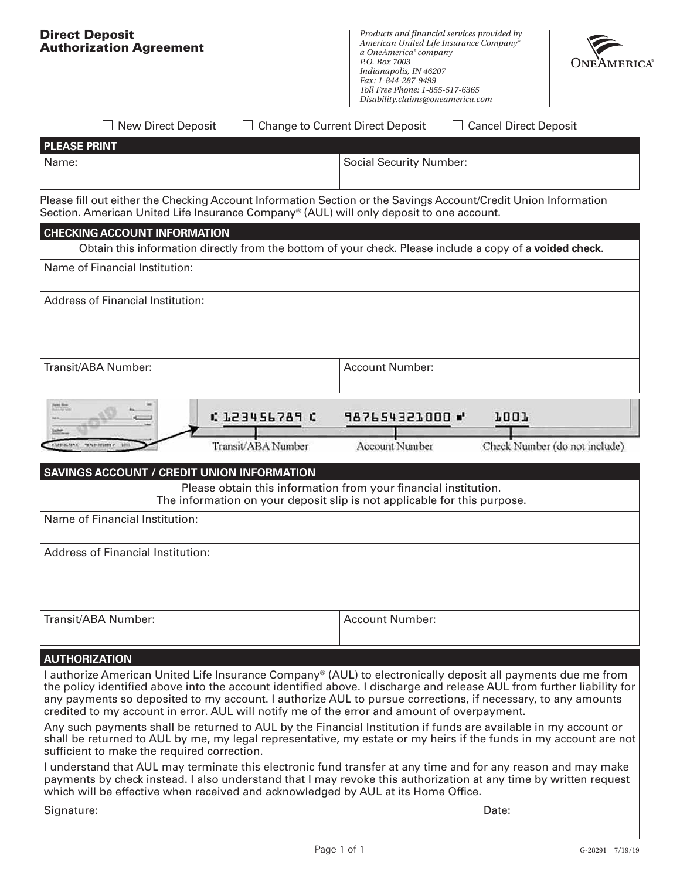| <b>Direct Deposit</b><br><b>Authorization Agreement</b>                                                                                                                                                                                                                                                                                                                                                                                              |                                     | Products and financial services provided by<br>American United Life Insurance Company®<br>a OneAmerica® company<br>P.O. Box 7003<br>Indianapolis, IN 46207<br>Fax: 1-844-287-9499<br>Toll Free Phone: 1-855-517-6365<br>Disability.claims@oneamerica.com |                                              |  |  |
|------------------------------------------------------------------------------------------------------------------------------------------------------------------------------------------------------------------------------------------------------------------------------------------------------------------------------------------------------------------------------------------------------------------------------------------------------|-------------------------------------|----------------------------------------------------------------------------------------------------------------------------------------------------------------------------------------------------------------------------------------------------------|----------------------------------------------|--|--|
| <b>New Direct Deposit</b>                                                                                                                                                                                                                                                                                                                                                                                                                            |                                     | <b>Change to Current Direct Deposit</b>                                                                                                                                                                                                                  | $\Box$ Cancel Direct Deposit                 |  |  |
| <b>PLEASE PRINT</b>                                                                                                                                                                                                                                                                                                                                                                                                                                  |                                     |                                                                                                                                                                                                                                                          |                                              |  |  |
| Name:                                                                                                                                                                                                                                                                                                                                                                                                                                                |                                     | <b>Social Security Number:</b>                                                                                                                                                                                                                           |                                              |  |  |
| Please fill out either the Checking Account Information Section or the Savings Account/Credit Union Information<br>Section. American United Life Insurance Company® (AUL) will only deposit to one account.                                                                                                                                                                                                                                          |                                     |                                                                                                                                                                                                                                                          |                                              |  |  |
| <b>CHECKING ACCOUNT INFORMATION</b>                                                                                                                                                                                                                                                                                                                                                                                                                  |                                     |                                                                                                                                                                                                                                                          |                                              |  |  |
|                                                                                                                                                                                                                                                                                                                                                                                                                                                      |                                     | Obtain this information directly from the bottom of your check. Please include a copy of a voided check.                                                                                                                                                 |                                              |  |  |
| Name of Financial Institution:                                                                                                                                                                                                                                                                                                                                                                                                                       |                                     |                                                                                                                                                                                                                                                          |                                              |  |  |
| <b>Address of Financial Institution:</b>                                                                                                                                                                                                                                                                                                                                                                                                             |                                     |                                                                                                                                                                                                                                                          |                                              |  |  |
| Transit/ABA Number:                                                                                                                                                                                                                                                                                                                                                                                                                                  |                                     | <b>Account Number:</b>                                                                                                                                                                                                                                   |                                              |  |  |
| <b>ESC</b><br><b>CONSIGNATION CONSIGNERS</b>                                                                                                                                                                                                                                                                                                                                                                                                         | C 123456789 C<br>Transit/ABA Number | 987654321000 W<br>Account Number                                                                                                                                                                                                                         | <b>7007</b><br>Check Number (do not include) |  |  |
| <b>SAVINGS ACCOUNT / CREDIT UNION INFORMATION</b>                                                                                                                                                                                                                                                                                                                                                                                                    |                                     |                                                                                                                                                                                                                                                          |                                              |  |  |
|                                                                                                                                                                                                                                                                                                                                                                                                                                                      |                                     | Please obtain this information from your financial institution.<br>The information on your deposit slip is not applicable for this purpose.                                                                                                              |                                              |  |  |
| Name of Financial Institution:                                                                                                                                                                                                                                                                                                                                                                                                                       |                                     |                                                                                                                                                                                                                                                          |                                              |  |  |
| <b>Address of Financial Institution:</b>                                                                                                                                                                                                                                                                                                                                                                                                             |                                     |                                                                                                                                                                                                                                                          |                                              |  |  |
| Transit/ABA Number:                                                                                                                                                                                                                                                                                                                                                                                                                                  |                                     | <b>Account Number:</b>                                                                                                                                                                                                                                   |                                              |  |  |
|                                                                                                                                                                                                                                                                                                                                                                                                                                                      |                                     |                                                                                                                                                                                                                                                          |                                              |  |  |
| <b>AUTHORIZATION</b>                                                                                                                                                                                                                                                                                                                                                                                                                                 |                                     |                                                                                                                                                                                                                                                          |                                              |  |  |
| I authorize American United Life Insurance Company® (AUL) to electronically deposit all payments due me from<br>the policy identified above into the account identified above. I discharge and release AUL from further liability for<br>any payments so deposited to my account. I authorize AUL to pursue corrections, if necessary, to any amounts<br>credited to my account in error. AUL will notify me of the error and amount of overpayment. |                                     |                                                                                                                                                                                                                                                          |                                              |  |  |
| Any such payments shall be returned to AUL by the Financial Institution if funds are available in my account or<br>shall be returned to AUL by me, my legal representative, my estate or my heirs if the funds in my account are not<br>sufficient to make the required correction.                                                                                                                                                                  |                                     |                                                                                                                                                                                                                                                          |                                              |  |  |
| I understand that AUL may terminate this electronic fund transfer at any time and for any reason and may make<br>payments by check instead. I also understand that I may revoke this authorization at any time by written request<br>which will be effective when received and acknowledged by AUL at its Home Office.                                                                                                                               |                                     |                                                                                                                                                                                                                                                          |                                              |  |  |
| Signature:                                                                                                                                                                                                                                                                                                                                                                                                                                           |                                     |                                                                                                                                                                                                                                                          | Date:                                        |  |  |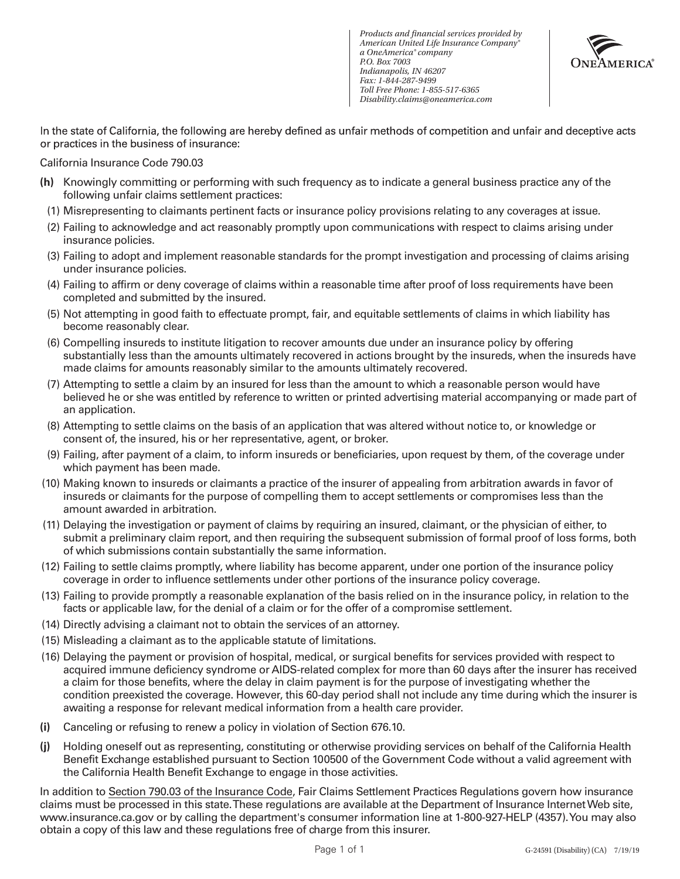*Products and financial services provided by American United Life Insurance Company® a OneAmerica® company P.O. Box 7003 Indianapolis, IN 46207 Fax: 1-844-287-9499 Toll Free Phone: 1-855-517-6365 Disability.claims@oneamerica.com*



In the state of California, the following are hereby defined as unfair methods of competition and unfair and deceptive acts or practices in the business of insurance:

California Insurance Code 790.03

- **(h)** Knowingly committing or performing with such frequency as to indicate a general business practice any of the following unfair claims settlement practices:
- (1) Misrepresenting to claimants pertinent facts or insurance policy provisions relating to any coverages at issue.
- (2) Failing to acknowledge and act reasonably promptly upon communications with respect to claims arising under insurance policies.
- (3) Failing to adopt and implement reasonable standards for the prompt investigation and processing of claims arising under insurance policies.
- (4) Failing to affirm or deny coverage of claims within a reasonable time after proof of loss requirements have been completed and submitted by the insured.
- (5) Not attempting in good faith to effectuate prompt, fair, and equitable settlements of claims in which liability has become reasonably clear.
- (6) Compelling insureds to institute litigation to recover amounts due under an insurance policy by offering substantially less than the amounts ultimately recovered in actions brought by the insureds, when the insureds have made claims for amounts reasonably similar to the amounts ultimately recovered.
- (7) Attempting to settle a claim by an insured for less than the amount to which a reasonable person would have believed he or she was entitled by reference to written or printed advertising material accompanying or made part of an application.
- (8) Attempting to settle claims on the basis of an application that was altered without notice to, or knowledge or consent of, the insured, his or her representative, agent, or broker.
- (9) Failing, after payment of a claim, to inform insureds or beneficiaries, upon request by them, of the coverage under which payment has been made.
- (10) Making known to insureds or claimants a practice of the insurer of appealing from arbitration awards in favor of insureds or claimants for the purpose of compelling them to accept settlements or compromises less than the amount awarded in arbitration.
- (11) Delaying the investigation or payment of claims by requiring an insured, claimant, or the physician of either, to submit a preliminary claim report, and then requiring the subsequent submission of formal proof of loss forms, both of which submissions contain substantially the same information.
- (12) Failing to settle claims promptly, where liability has become apparent, under one portion of the insurance policy coverage in order to influence settlements under other portions of the insurance policy coverage.
- (13) Failing to provide promptly a reasonable explanation of the basis relied on in the insurance policy, in relation to the facts or applicable law, for the denial of a claim or for the offer of a compromise settlement.
- (14) Directly advising a claimant not to obtain the services of an attorney.
- (15) Misleading a claimant as to the applicable statute of limitations.
- (16) Delaying the payment or provision of hospital, medical, or surgical benefits for services provided with respect to acquired immune deficiency syndrome or AIDS-related complex for more than 60 days after the insurer has received a claim for those benefits, where the delay in claim payment is for the purpose of investigating whether the condition preexisted the coverage. However, this 60-day period shall not include any time during which the insurer is awaiting a response for relevant medical information from a health care provider.
- **(i)** Canceling or refusing to renew a policy in violation of Section 676.10.
- **(j)** Holding oneself out as representing, constituting or otherwise providing services on behalf of the California Health Benefit Exchange established pursuant to Section 100500 of the Government Code without a valid agreement with the California Health Benefit Exchange to engage in those activities.

In addition to Section 790.03 of the Insurance Code, Fair Claims Settlement Practices Regulations govern how insurance claims must be processed in this state. These regulations are available at the Department of Insurance Internet Web site, www.insurance.ca.gov or by calling the department's consumer information line at 1-800-927-HELP (4357). You may also obtain a copy of this law and these regulations free of charge from this insurer.